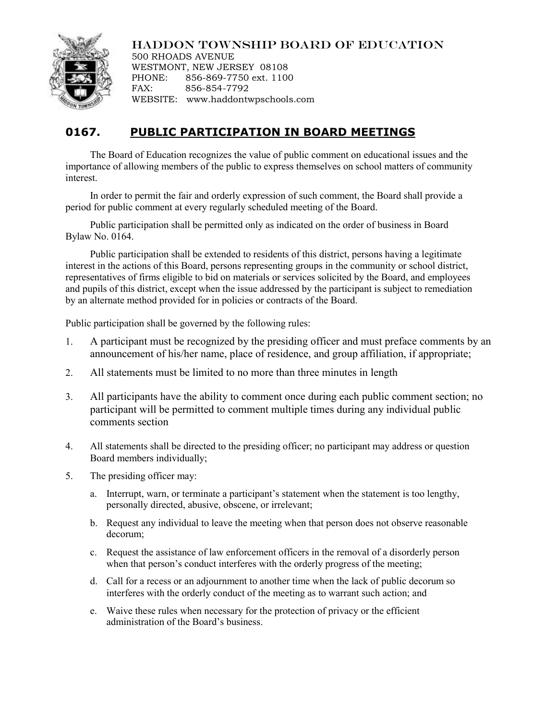## HADDON TOWNSHIP BOARD OF EDUCATION



500 RHOADS AVENUE WESTMONT, NEW JERSEY 08108 PHONE: 856-869-7750 ext. 1100 FAX: 856-854-7792 WEBSITE: www.haddontwpschools.com

## **0167. PUBLIC PARTICIPATION IN BOARD MEETINGS**

The Board of Education recognizes the value of public comment on educational issues and the importance of allowing members of the public to express themselves on school matters of community interest.

In order to permit the fair and orderly expression of such comment, the Board shall provide a period for public comment at every regularly scheduled meeting of the Board.

Public participation shall be permitted only as indicated on the order of business in Board Bylaw No. 0164.

Public participation shall be extended to residents of this district, persons having a legitimate interest in the actions of this Board, persons representing groups in the community or school district, representatives of firms eligible to bid on materials or services solicited by the Board, and employees and pupils of this district, except when the issue addressed by the participant is subject to remediation by an alternate method provided for in policies or contracts of the Board.

Public participation shall be governed by the following rules:

- 1. A participant must be recognized by the presiding officer and must preface comments by an announcement of his/her name, place of residence, and group affiliation, if appropriate;
- 2. All statements must be limited to no more than three minutes in length
- 3. All participants have the ability to comment once during each public comment section; no participant will be permitted to comment multiple times during any individual public comments section
- 4. All statements shall be directed to the presiding officer; no participant may address or question Board members individually;
- 5. The presiding officer may:
	- a. Interrupt, warn, or terminate a participant's statement when the statement is too lengthy, personally directed, abusive, obscene, or irrelevant;
	- b. Request any individual to leave the meeting when that person does not observe reasonable decorum;
	- c. Request the assistance of law enforcement officers in the removal of a disorderly person when that person's conduct interferes with the orderly progress of the meeting;
	- d. Call for a recess or an adjournment to another time when the lack of public decorum so interferes with the orderly conduct of the meeting as to warrant such action; and
	- e. Waive these rules when necessary for the protection of privacy or the efficient administration of the Board's business.